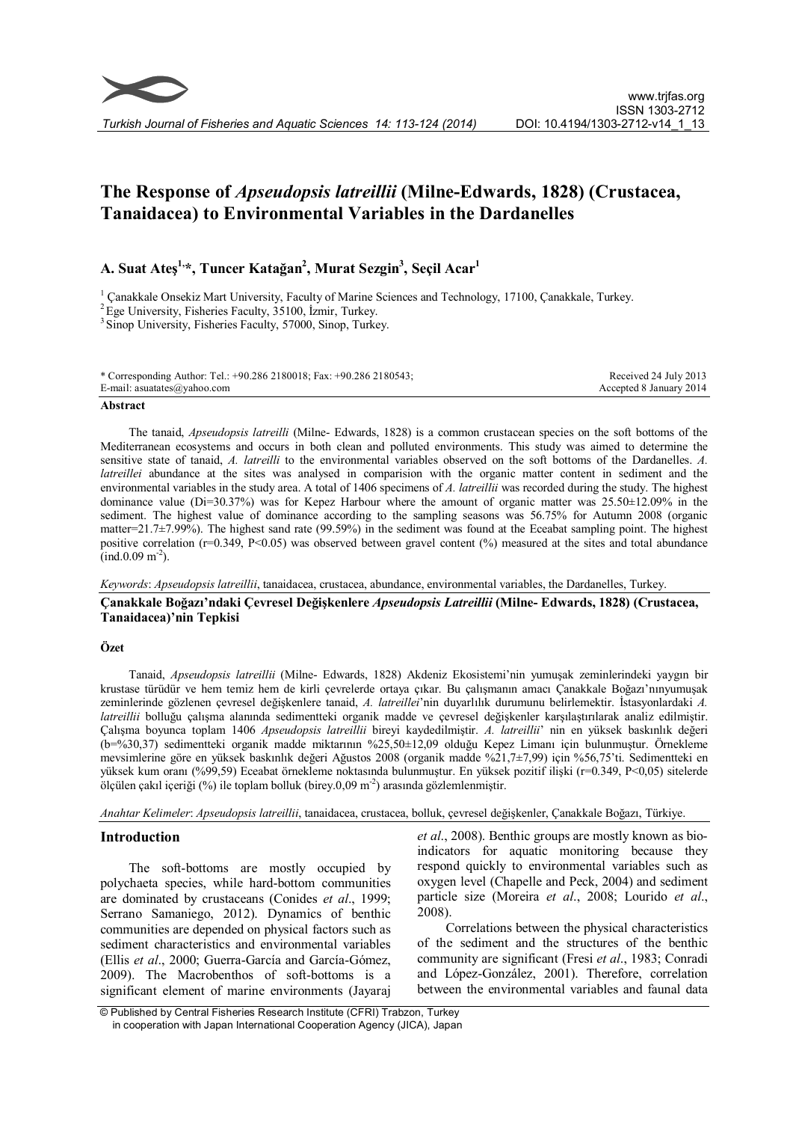

# The Response of Apseudopsis latreillii (Milne-Edwards, 1828) (Crustacea, Tanaidacea) to Environmental Variables in the Dardanelles

## A. Suat Ateş<sup>1,</sup>\*, Tuncer Katağan<sup>2</sup>, Murat Sezgin<sup>3</sup>, Seçil Acar<sup>1</sup>

<sup>1</sup> Çanakkale Onsekiz Mart University, Faculty of Marine Sciences and Technology, 17100, Çanakkale, Turkey.  ${}^{2}$ Ege University, Fisheries Faculty, 35100, İzmir, Turkey.  ${}^{3}$ Sinop University, Fisheries Faculty, 57000,

| * Corresponding Author: Tel.: +90.286 2180018; Fax: +90.286 2180543; | Received 24 July 2013   |
|----------------------------------------------------------------------|-------------------------|
| E-mail: asuatates@yahoo.com                                          | Accepted 8 January 2014 |

## Abstract

The tanaid, Apseudopsis latreilli (Milne- Edwards, 1828) is a common crustacean species on the soft bottoms of the Mediterranean ecosystems and occurs in both clean and polluted environments. This study was aimed to determine the sensitive state of tanaid, A. latreilli to the environmental variables observed on the soft bottoms of the Dardanelles. A. latreillei abundance at the sites was analysed in comparision with the organic matter content in sediment and the environmental variables in the study area. A total of 1406 specimens of A. latreillii was recorded during the study. The highest dominance value (Di=30.37%) was for Kepez Harbour where the amount of organic matter was  $25.50\pm12.09\%$  in the sediment. The highest value of dominance according to the sampling seasons was 56.75% for Autumn 2008 (organic matter=21.7±7.99%). The highest sand rate (99.59%) in the sediment was found at the Eceabat sampling point. The highest positive correlation ( $r=0.349$ , P<0.05) was observed between gravel content (%) measured at the sites and total abundance  $\text{(ind.0.09 m}^2)$ .

Keywords: Apseudopsis latreillii, tanaidacea, crustacea, abundance, environmental variables, the Dardanelles, Turkey.

## Çanakkale Boğazı'ndaki Çevresel Değişkenlere Apseudopsis Latreillii (Milne- Edwards, 1828) (Crustacea, Tanaidacea)'nin Tepkisi

## Özet

Tanaid, Apseudopsis latreillii (Milne- Edwards, 1828) Akdeniz Ekosistemi'nin yumuşak zeminlerindeki yaygın bir krustase türüdür ve hem temiz hem de kirli çevrelerde ortaya çıkar. Bu çalışmanın amacı Çanakkale Boğazı'nınyumuşak zeminlerinde gözlenen çevresel değişkenlere tanaid, A. latreillei'nin duyarlılık durumunu belirlemektir. İstasyonlardaki A. latreillii bolluğu çalışma alanında sedimentteki organik madde ve çevresel değişkenler karşılaştırılarak analiz edilmiştir. Çalışma boyunca toplam 1406 Apseudopsis latreillii bireyi kaydedilmiştir. A. latreillii' nin en yüksek baskınlık değeri (b=%30,37) sedimentteki organik madde miktarının %25,50±12,09 olduğu Kepez Limanı için bulunmuştur. Örnekleme mevsimlerine göre en yüksek baskınlık değeri Ağustos 2008 (organik madde %21,7±7,99) için %56,75'ti. Sedimentteki en yüksek kum oranı (%99,59) Eceabat örnekleme noktasında bulunmuştur. En yüksek pozitif ilişki (r=0.349, P<0,05) sitelerde ölçülen çakıl içeriği (%) ile toplam bolluk (birey.0,09 m<sup>-2</sup>) arasında gözlemlenmiştir.

Anahtar Kelimeler: Apseudopsis latreillii, tanaidacea, crustacea, bolluk, çevresel değişkenler, Çanakkale Boğazı, Türkiye.

## Introduction

The soft-bottoms are mostly occupied by polychaeta species, while hard-bottom communities are dominated by crustaceans (Conides et al., 1999; Serrano Samaniego, 2012). Dynamics of benthic communities are depended on physical factors such as sediment characteristics and environmental variables (Ellis et al., 2000; Guerra-García and García-Gómez, 2009). The Macrobenthos of soft-bottoms is a significant element of marine environments (Jayaraj et al., 2008). Benthic groups are mostly known as bioindicators for aquatic monitoring because they respond quickly to environmental variables such as oxygen level (Chapelle and Peck, 2004) and sediment particle size (Moreira et al., 2008; Lourido et al., 2008).

Correlations between the physical characteristics of the sediment and the structures of the benthic community are significant (Fresi et al., 1983; Conradi and López-González, 2001). Therefore, correlation between the environmental variables and faunal data

<sup>©</sup> Published by Central Fisheries Research Institute (CFRI) Trabzon, Turkey in cooperation with Japan International Cooperation Agency (JICA), Japan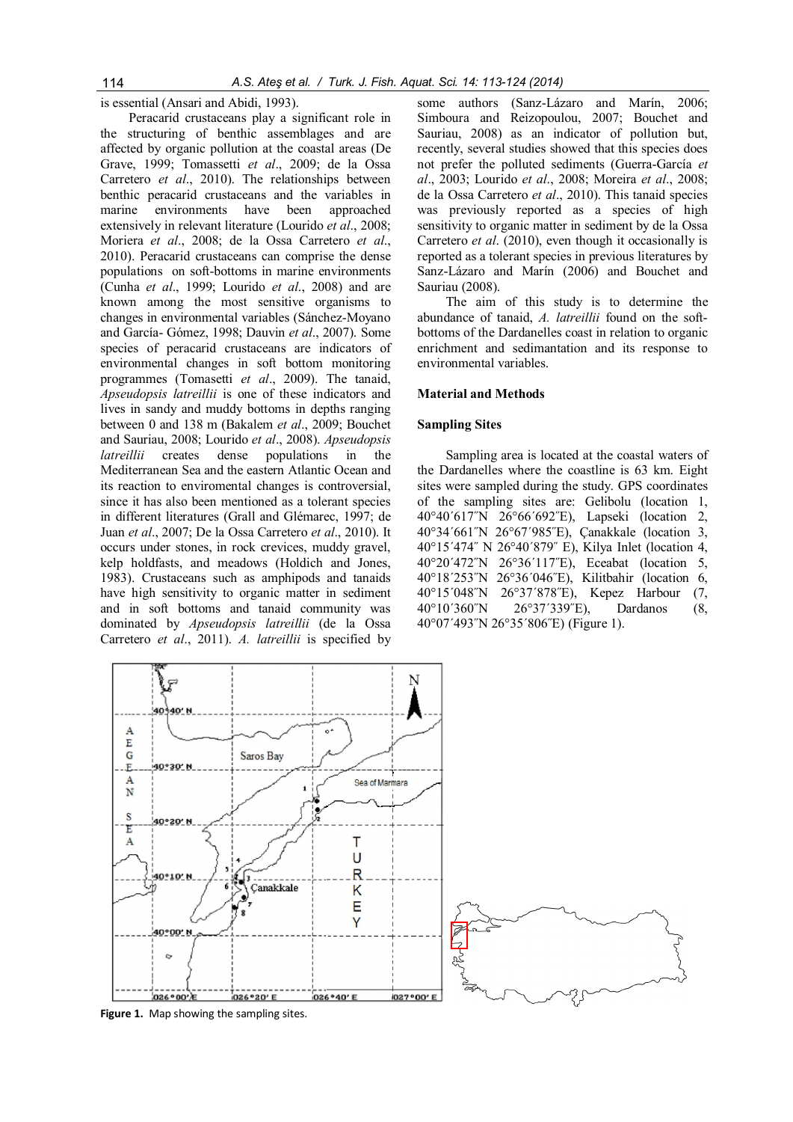is essential (Ansari and Abidi, 1993).

Peracarid crustaceans play a significant role in the structuring of benthic assemblages and are affected by organic pollution at the coastal areas (De Grave, 1999; Tomassetti et al., 2009; de la Ossa Carretero et al., 2010). The relationships between benthic peracarid crustaceans and the variables in marine environments have been approached extensively in relevant literature (Lourido et al., 2008; Moriera et al., 2008; de la Ossa Carretero et al., 2010). Peracarid crustaceans can comprise the dense populations on soft-bottoms in marine environments (Cunha et al., 1999; Lourido et al., 2008) and are known among the most sensitive organisms to changes in environmental variables (Sánchez-Moyano and García- Gómez, 1998; Dauvin et al., 2007). Some species of peracarid crustaceans are indicators of environmental changes in soft bottom monitoring programmes (Tomasetti et al., 2009). The tanaid, Apseudopsis latreillii is one of these indicators and lives in sandy and muddy bottoms in depths ranging between 0 and 138 m (Bakalem et al., 2009; Bouchet and Sauriau, 2008; Lourido et al., 2008). Apseudopsis latreillii creates dense populations in the Mediterranean Sea and the eastern Atlantic Ocean and its reaction to enviromental changes is controversial, since it has also been mentioned as a tolerant species in different literatures (Grall and Glémarec, 1997; de Juan et al., 2007; De la Ossa Carretero et al., 2010). It occurs under stones, in rock crevices, muddy gravel, kelp holdfasts, and meadows (Holdich and Jones, 1983). Crustaceans such as amphipods and tanaids have high sensitivity to organic matter in sediment and in soft bottoms and tanaid community was dominated by Apseudopsis latreillii (de la Ossa Carretero et al., 2011). A. latreillii is specified by some authors (Sanz-Lázaro and Marín, 2006; Simboura and Reizopoulou, 2007; Bouchet and Sauriau, 2008) as an indicator of pollution but, recently, several studies showed that this species does not prefer the polluted sediments (Guerra-García et al., 2003; Lourido et al., 2008; Moreira et al., 2008; de la Ossa Carretero et al., 2010). This tanaid species was previously reported as a species of high sensitivity to organic matter in sediment by de la Ossa Carretero et al. (2010), even though it occasionally is reported as a tolerant species in previous literatures by Sanz-Lázaro and Marín (2006) and Bouchet and Sauriau (2008).

The aim of this study is to determine the abundance of tanaid, A. latreillii found on the softbottoms of the Dardanelles coast in relation to organic enrichment and sedimantation and its response to environmental variables.

## Material and Methods

#### Sampling Sites

Sampling area is located at the coastal waters of the Dardanelles where the coastline is 63 km. Eight sites were sampled during the study. GPS coordinates of the sampling sites are: Gelibolu (location 1, 40°40΄617˝N 26°66΄692˝E), Lapseki (location 2, 40°34΄661˝N 26°67΄985˝E), Çanakkale (location 3, 40°15΄474˝ N 26°40΄879˝ E), Kilya Inlet (location 4, 40°20΄472˝N 26°36΄117˝E), Eceabat (location 5, 40°18΄253˝N 26°36΄046˝E), Kilitbahir (location 6, 40°15΄048˝N 26°37΄878˝E), Kepez Harbour (7, 40°10΄360˝N 26°37΄339˝E), Dardanos (8, 40°07΄493˝N 26°35΄806˝E) (Figure 1).

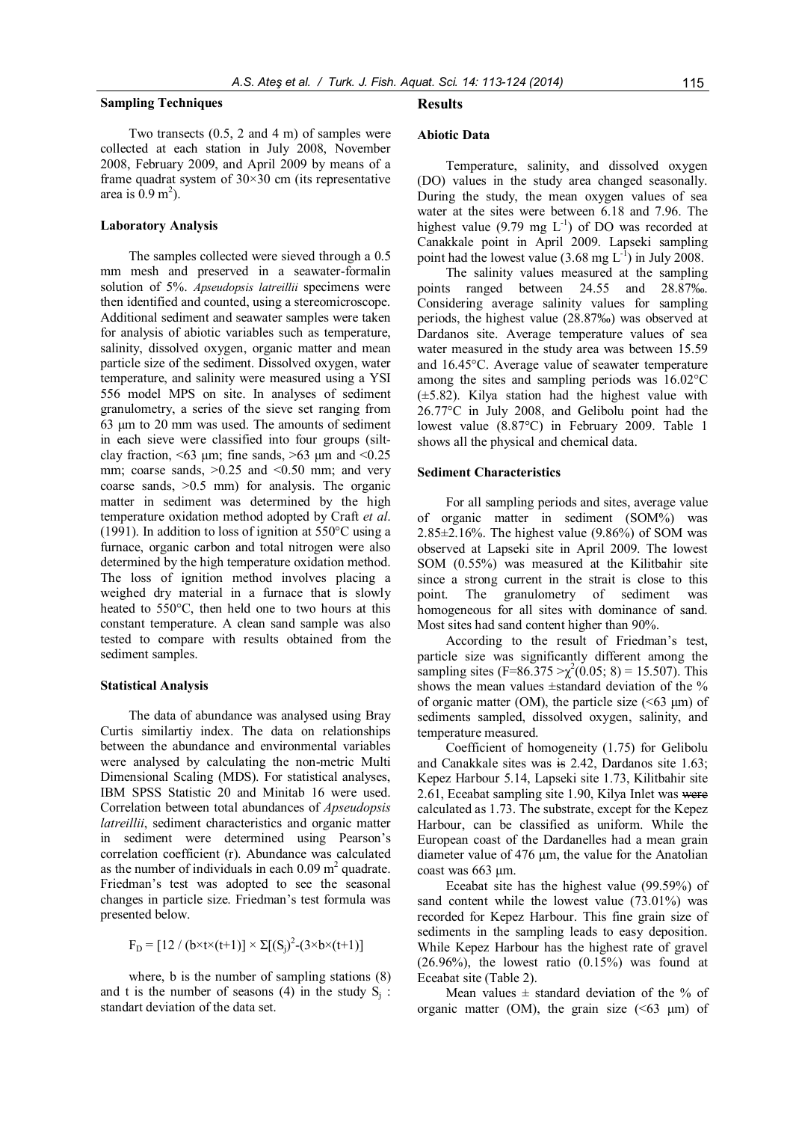#### Sampling Techniques

Two transects (0.5, 2 and 4 m) of samples were collected at each station in July 2008, November 2008, February 2009, and April 2009 by means of a frame quadrat system of  $30 \times 30$  cm (its representative area is  $0.9 \text{ m}^2$ ).

## Laboratory Analysis

The samples collected were sieved through a 0.5 mm mesh and preserved in a seawater-formalin solution of 5%. Apseudopsis latreillii specimens were then identified and counted, using a stereomicroscope. Additional sediment and seawater samples were taken for analysis of abiotic variables such as temperature, salinity, dissolved oxygen, organic matter and mean particle size of the sediment. Dissolved oxygen, water temperature, and salinity were measured using a YSI 556 model MPS on site. In analyses of sediment granulometry, a series of the sieve set ranging from 63 μm to 20 mm was used. The amounts of sediment in each sieve were classified into four groups (siltclay fraction,  $\leq 63$  μm; fine sands,  $\geq 63$  μm and  $\leq 0.25$ mm; coarse sands,  $>0.25$  and  $<0.50$  mm; and very coarse sands, >0.5 mm) for analysis. The organic matter in sediment was determined by the high temperature oxidation method adopted by Craft et al. (1991). In addition to loss of ignition at 550°C using a furnace, organic carbon and total nitrogen were also determined by the high temperature oxidation method. The loss of ignition method involves placing a weighed dry material in a furnace that is slowly heated to 550°C, then held one to two hours at this constant temperature. A clean sand sample was also tested to compare with results obtained from the sediment samples.

#### Statistical Analysis

The data of abundance was analysed using Bray Curtis similartiy index. The data on relationships between the abundance and environmental variables were analysed by calculating the non-metric Multi Dimensional Scaling (MDS). For statistical analyses, IBM SPSS Statistic 20 and Minitab 16 were used. Correlation between total abundances of Apseudopsis latreillii, sediment characteristics and organic matter in sediment were determined using Pearson's correlation coefficient (r). Abundance was calculated as the number of individuals in each  $0.09 \text{ m}^2$  quadrate. Friedman's test was adopted to see the seasonal changes in particle size. Friedman's test formula was presented below.

$$
F_{D} = [12 / (b \times t \times (t+1)] \times \Sigma[(S_{j})^{2} - (3 \times b \times (t+1))]
$$

where, b is the number of sampling stations (8) and t is the number of seasons (4) in the study  $S_i$ : standart deviation of the data set.

#### Results

## Abiotic Data

Temperature, salinity, and dissolved oxygen (DO) values in the study area changed seasonally. During the study, the mean oxygen values of sea water at the sites were between 6.18 and 7.96. The highest value (9.79 mg  $L^{-1}$ ) of DO was recorded at Canakkale point in April 2009. Lapseki sampling point had the lowest value  $(3.68 \text{ mg } L^{-1})$  in July 2008.

The salinity values measured at the sampling points ranged between 24.55 and 28.87‰. Considering average salinity values for sampling periods, the highest value (28.87‰) was observed at Dardanos site. Average temperature values of sea water measured in the study area was between 15.59 and 16.45°C. Average value of seawater temperature among the sites and sampling periods was 16.02°C (±5.82). Kilya station had the highest value with 26.77°C in July 2008, and Gelibolu point had the lowest value (8.87°C) in February 2009. Table 1 shows all the physical and chemical data.

## Sediment Characteristics

For all sampling periods and sites, average value of organic matter in sediment (SOM%) was  $2.85\pm2.16\%$ . The highest value (9.86%) of SOM was observed at Lapseki site in April 2009. The lowest SOM (0.55%) was measured at the Kilitbahir site since a strong current in the strait is close to this point. The granulometry of sediment was homogeneous for all sites with dominance of sand. Most sites had sand content higher than 90%.

According to the result of Friedman's test, particle size was significantly different among the sampling sites  $(F=86.375 > \chi^2(0.05; 8) = 15.507)$ . This shows the mean values  $\pm$ standard deviation of the % of organic matter (OM), the particle size  $(<63 \mu m$ ) of sediments sampled, dissolved oxygen, salinity, and temperature measured.

Coefficient of homogeneity (1.75) for Gelibolu and Canakkale sites was is 2.42, Dardanos site 1.63; Kepez Harbour 5.14, Lapseki site 1.73, Kilitbahir site 2.61, Eceabat sampling site 1.90, Kilya Inlet was were calculated as 1.73. The substrate, except for the Kepez Harbour, can be classified as uniform. While the European coast of the Dardanelles had a mean grain diameter value of 476 μm, the value for the Anatolian coast was 663 μm.

Eceabat site has the highest value (99.59%) of sand content while the lowest value (73.01%) was recorded for Kepez Harbour. This fine grain size of sediments in the sampling leads to easy deposition. While Kepez Harbour has the highest rate of gravel  $(26.96\%)$ , the lowest ratio  $(0.15\%)$  was found at Eceabat site (Table 2).

Mean values  $\pm$  standard deviation of the % of organic matter (OM), the grain size  $(53 \mu m)$  of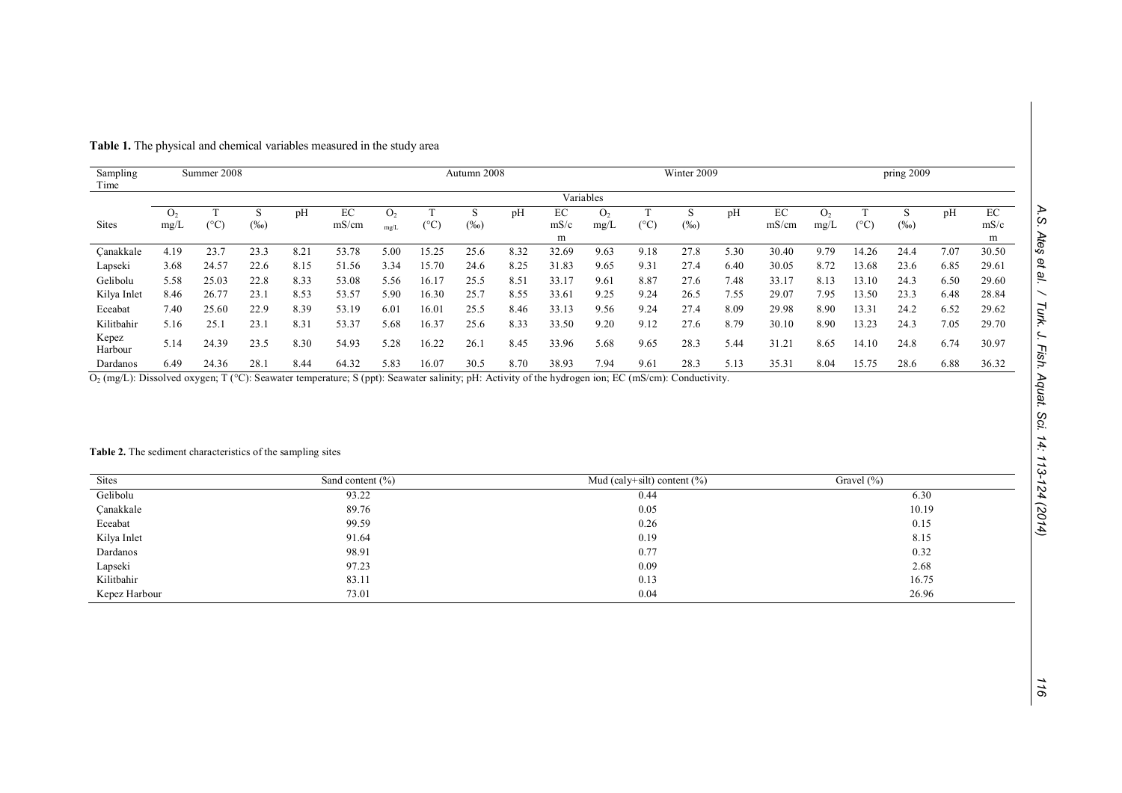| A.S. Ates et al.                              |
|-----------------------------------------------|
|                                               |
|                                               |
|                                               |
|                                               |
| Turk. J. Fish. Aquat. Sci. 14: 113-124 (2014) |
|                                               |
|                                               |
|                                               |
|                                               |
|                                               |
|                                               |
|                                               |
|                                               |

|  |  |  | Table 1. The physical and chemical variables measured in the study area |  |
|--|--|--|-------------------------------------------------------------------------|--|
|--|--|--|-------------------------------------------------------------------------|--|

| Sampling<br>Time |                | Summer 2008           |         |      |       |                |       | Autumn 2008 |      |       |           |               | Winter 2009 |      |       |      |               | pring 2009 |      |       |
|------------------|----------------|-----------------------|---------|------|-------|----------------|-------|-------------|------|-------|-----------|---------------|-------------|------|-------|------|---------------|------------|------|-------|
|                  |                |                       |         |      |       |                |       |             |      |       | Variables |               |             |      |       |      |               |            |      |       |
|                  | O <sub>2</sub> |                       |         | pH   | EC    | O <sub>2</sub> |       | D.          | pH   | ЕC    | О,        |               |             | pH   | EC    | Ω,   |               |            | pH   | EC    |
| <b>Sites</b>     | mg/L           | ${}^{\prime\circ}C_1$ | $(\%0)$ |      | mS/cm | mg/L           | (°C)  | $(\%0)$     |      | mS/c  | mg/L      | $(^{\circ}C)$ | $(\%0)$     |      | mS/cm | mg/L | $(^{\circ}C)$ | $(\%0)$    |      | mS/c  |
|                  |                |                       |         |      |       |                |       |             |      | m     |           |               |             |      |       |      |               |            |      | m     |
| Canakkale        | 4.19           | 23.7                  | 23.3    | 8.21 | 53.78 | 5.00           | 15.25 | 25.6        | 8.32 | 32.69 | 9.63      | 9.18          | 27.8        | 5.30 | 30.40 | 9.79 | 14.26         | 24.4       | 7.07 | 30.50 |
| Lapseki          | 3.68           | 24.57                 | 22.6    | 8.15 | 51.56 | 3.34           | 15.70 | 24.6        | 8.25 | 31.83 | 9.65      | 9.31          | 27.4        | 6.40 | 30.05 | 8.72 | 13.68         | 23.6       | 6.85 | 29.61 |
| Gelibolu         | 5.58           | 25.03                 | 22.8    | 8.33 | 53.08 | 5.56           | 16.17 | 25.5        | 8.51 | 33.17 | 9.61      | 8.87          | 27.6        | 7.48 | 33.17 | 8.13 | 13.10         | 24.3       | 6.50 | 29.60 |
| Kilya Inlet      | 8.46           | 26.77                 | 23.1    | 8.53 | 53.57 | 5.90           | 16.30 | 25.7        | 8.55 | 33.61 | 9.25      | 9.24          | 26.5        | 7.55 | 29.07 | 7.95 | 13.50         | 23.3       | 6.48 | 28.84 |
| Eceabat          | 7.40           | 25.60                 | 22.9    | 8.39 | 53.19 | 6.01           | 16.01 | 25.5        | 8.46 | 33.13 | 9.56      | 9.24          | 27.4        | 8.09 | 29.98 | 8.90 | 13.31         | 24.2       | 6.52 | 29.62 |
| Kilitbahir       | 5.16           | 25.1                  | 23.1    | 8.31 | 53.37 | 5.68           | 16.37 | 25.6        | 8.33 | 33.50 | 9.20      | 9.12          | 27.6        | 8.79 | 30.10 | 8.90 | 13.23         | 24.3       | 7.05 | 29.70 |
| Kepez<br>Harbour | 5.14           | 24.39                 | 23.5    | 8.30 | 54.93 | 5.28           | 16.22 | 26.1        | 8.45 | 33.96 | 5.68      | 9.65          | 28.3        | 5.44 | 31.21 | 8.65 | 14.10         | 24.8       | 6.74 | 30.97 |
| Dardanos         | 6.49           | 24.36                 | 28.1    | 8.44 | 64.32 | 5.83           | 16.07 | 30.5        | 8.70 | 38.93 | 7.94      | 9.61          | 28.3        | 5.13 | 35.31 | 8.04 | 15.75         | 28.6       | 6.88 | 36.32 |

O2 (mg/L): Dissolved oxygen; T (°C): Seawater temperature; S (ppt): Seawater salinity; pH: Activity of the hydrogen ion; EC (mS/cm): Conductivity.

## Table 2. The sediment characteristics of the sampling sites

| <b>Sites</b>  | Sand content $(\% )$ | Mud (caly+silt) content $(\% )$ | Gravel $(\% )$ |
|---------------|----------------------|---------------------------------|----------------|
| Gelibolu      | 93.22                | 0.44                            | 6.30           |
| Canakkale     | 89.76                | 0.05                            | 10.19          |
| Eceabat       | 99.59                | 0.26                            | 0.15           |
| Kilya Inlet   | 91.64                | 0.19                            | 8.15           |
| Dardanos      | 98.91                | 0.77                            | 0.32           |
| Lapseki       | 97.23                | 0.09                            | 2.68           |
| Kilitbahir    | 83.11                | 0.13                            | 16.75          |
| Kepez Harbour | 73.01                | 0.04                            | 26.96          |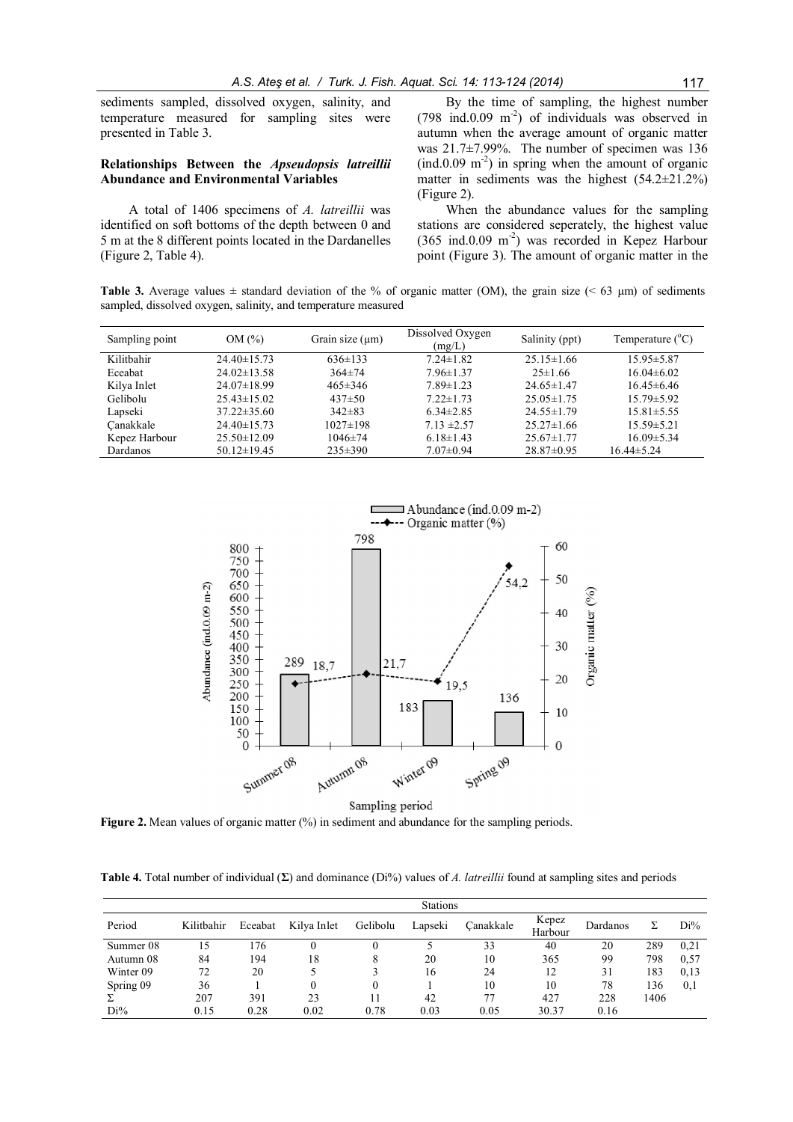sediments sampled, dissolved oxygen, salinity, and temperature measured for sampling sites were presented in Table 3.

## Relationships Between the Apseudopsis latreillii Abundance and Environmental Variables

A total of 1406 specimens of A. latreillii was identified on soft bottoms of the depth between 0 and 5 m at the 8 different points located in the Dardanelles (Figure 2, Table 4).

By the time of sampling, the highest number  $(798 \text{ ind.}0.09 \text{ m}^2)$  of individuals was observed in autumn when the average amount of organic matter was 21.7±7.99%. The number of specimen was 136  $(\text{ind.} 0.09 \text{ m}^2)$  in spring when the amount of organic matter in sediments was the highest  $(54.2\pm 21.2\%)$ (Figure 2).

When the abundance values for the sampling stations are considered seperately, the highest value (365 ind.0.09 m-2 ) was recorded in Kepez Harbour point (Figure 3). The amount of organic matter in the

Table 3. Average values  $\pm$  standard deviation of the % of organic matter (OM), the grain size (< 63 µm) of sediments sampled, dissolved oxygen, salinity, and temperature measured

| Sampling point | OM(%)             | Grain size $(\mu m)$ | Dissolved Oxygen<br>(mg/L) | Salinity (ppt)   | Temperature $(^{\circ}C)$ |
|----------------|-------------------|----------------------|----------------------------|------------------|---------------------------|
| Kilithahir     | $24.40 \pm 15.73$ | $636 \pm 133$        | $7.24 \pm 1.82$            | $25.15 \pm 1.66$ | $15.95 \pm 5.87$          |
| Eceabat        | $24.02 \pm 13.58$ | $364 \pm 74$         | $7.96 \pm 1.37$            | $25 \pm 1.66$    | $16.04\pm 6.02$           |
| Kilya Inlet    | $24.07 \pm 18.99$ | $465 \pm 346$        | $7.89 \pm 1.23$            | $24.65 \pm 1.47$ | $16.45\pm 6.46$           |
| Gelibolu       | $25.43 \pm 15.02$ | $437 \pm 50$         | $7.22 \pm 1.73$            | $25.05 \pm 1.75$ | $15.79 \pm 5.92$          |
| Lapseki        | $37.22 \pm 35.60$ | $342\pm83$           | $6.34\pm2.85$              | $24.55 \pm 1.79$ | $15.81 \pm 5.55$          |
| Canakkale      | $24.40 \pm 15.73$ | $1027 \pm 198$       | $7.13 \pm 2.57$            | $25.27 \pm 1.66$ | $15.59 \pm 5.21$          |
| Kepez Harbour  | $25.50 \pm 12.09$ | $1046 \pm 74$        | $6.18 \pm 1.43$            | $25.67 \pm 1.77$ | $16.09 \pm 5.34$          |
| Dardanos       | $50.12 \pm 19.45$ | $235 \pm 390$        | $7.07 \pm 0.94$            | $28.87 \pm 0.95$ | $16.44\pm 5.24$           |



Figure 2. Mean values of organic matter (%) in sediment and abundance for the sampling periods.

Table 4. Total number of individual  $(\Sigma)$  and dominance (Di%) values of A. latreillii found at sampling sites and periods

|           | <b>Stations</b> |         |             |          |         |           |                  |          |      |        |
|-----------|-----------------|---------|-------------|----------|---------|-----------|------------------|----------|------|--------|
| Period    | Kilitbahir      | Eceabat | Kilya Inlet | Gelibolu | Lapseki | Canakkale | Kepez<br>Harbour | Dardanos |      | $Di\%$ |
| Summer 08 | 15              | .76     |             |          |         | 33        | 40               | 20       | 289  | 0.21   |
| Autumn 08 | 84              | 194     | 18          | 8        | 20      | 10        | 365              | 99       | 798  | 0.57   |
| Winter 09 | 72              | 20      |             |          | 16      | 24        | 12               | 31       | 183  | 0.13   |
| Spring 09 | 36              |         |             | 0        |         | 10        | 10               | 78       | 136  | 0,1    |
|           | 207             | 391     | 23          |          | 42      | 77        | 427              | 228      | 1406 |        |
| $Di\%$    | 0.15            | 0.28    | 0.02        | 0.78     | 0.03    | 0.05      | 30.37            | 0.16     |      |        |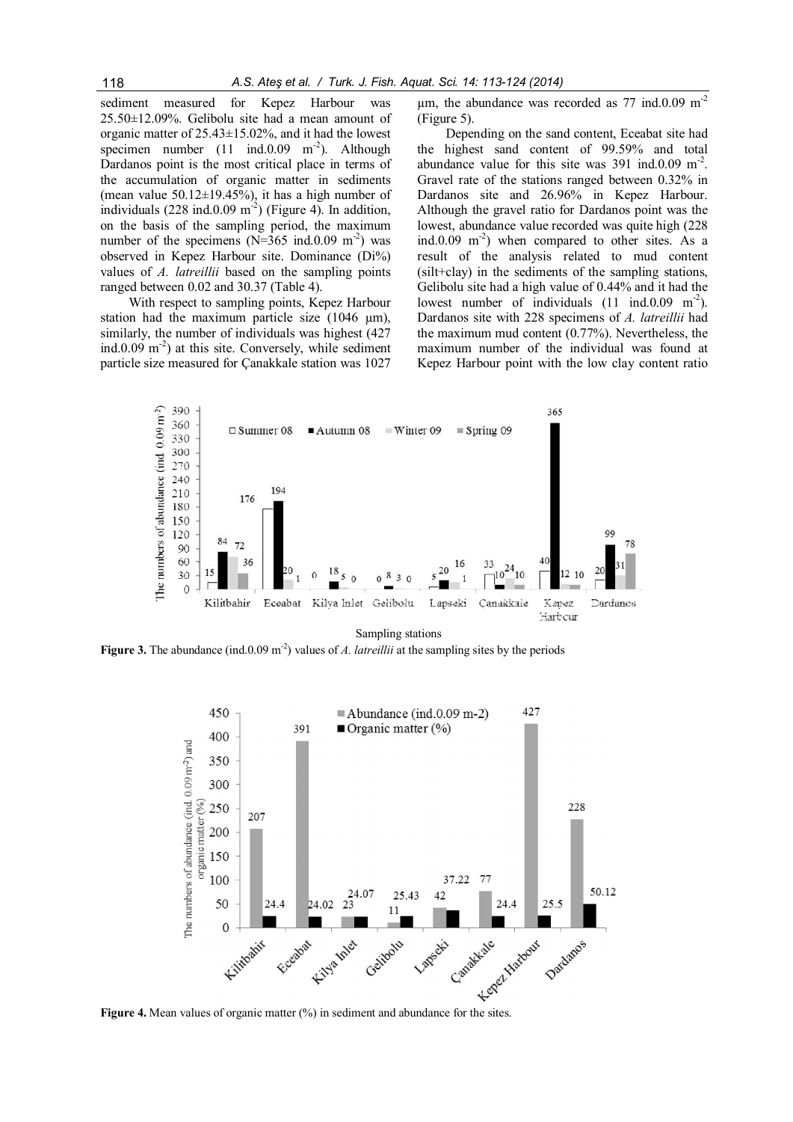sediment measured for Kepez Harbour was 25.50±12.09%. Gelibolu site had a mean amount of organic matter of 25.43±15.02%, and it had the lowest specimen number  $(11 \text{ ind.}0.09 \text{ m}^{-2})$ . Although Dardanos point is the most critical place in terms of the accumulation of organic matter in sediments (mean value  $50.12 \pm 19.45\%$ ), it has a high number of individuals  $(228 \text{ ind.}0.09 \text{ m}^2)$  (Figure 4). In addition, on the basis of the sampling period, the maximum number of the specimens  $(N=365 \text{ ind}.0.09 \text{ m}^{-2})$  was observed in Kepez Harbour site. Dominance (Di%) values of A. latreillii based on the sampling points ranged between 0.02 and 30.37 (Table 4).

With respect to sampling points, Kepez Harbour station had the maximum particle size (1046 um). similarly, the number of individuals was highest (427 ind.0.09 m<sup>-2</sup>) at this site. Conversely, while sediment particle size measured for Çanakkale station was 1027  $\mu$ m, the abundance was recorded as 77 ind.0.09 m<sup>-2</sup> (Figure 5).

Depending on the sand content, Eceabat site had the highest sand content of 99.59% and total abundance value for this site was  $391 \text{ ind.}0.09 \text{ m}^{-2}$ . Gravel rate of the stations ranged between 0.32% in Dardanos site and 26.96% in Kepez Harbour. Although the gravel ratio for Dardanos point was the lowest, abundance value recorded was quite high (228 ind.0.09 m<sup>-2</sup>) when compared to other sites. As a result of the analysis related to mud content (silt+clay) in the sediments of the sampling stations, Gelibolu site had a high value of 0.44% and it had the lowest number of individuals  $(11 \text{ ind.}0.09 \text{ m}^{-2})$ . Dardanos site with 228 specimens of A. latreillii had the maximum mud content (0.77%). Nevertheless, the maximum number of the individual was found at Kepez Harbour point with the low clay content ratio



Sampling stations

Figure 3. The abundance (ind.0.09 m<sup>-2</sup>) values of A. latreillii at the sampling sites by the periods

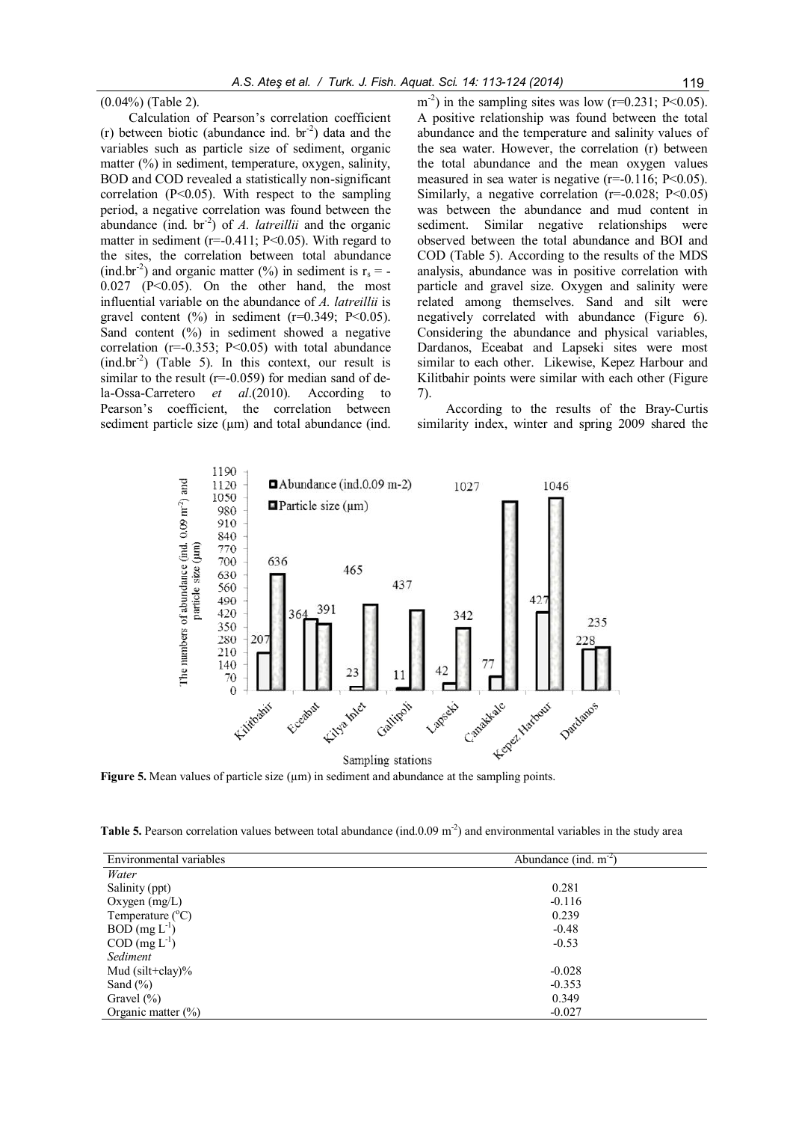(0.04%) (Table 2).

Calculation of Pearson's correlation coefficient (r) between biotic (abundance ind.  $br^{-2}$ ) data and the variables such as particle size of sediment, organic matter (%) in sediment, temperature, oxygen, salinity, BOD and COD revealed a statistically non-significant correlation  $(P<0.05)$ . With respect to the sampling period, a negative correlation was found between the abundance (ind.  $br^2$ ) of A. latreillii and the organic matter in sediment ( $r=-0.411$ ;  $P<0.05$ ). With regard to the sites, the correlation between total abundance (ind.br<sup>-2</sup>) and organic matter (%) in sediment is  $r_s = -$ 0.027 (P<0.05). On the other hand, the most influential variable on the abundance of A. latreillii is gravel content  $(\%)$  in sediment  $(r=0.349; P<0.05)$ . Sand content (%) in sediment showed a negative correlation  $(r=-0.353; P<0.05)$  with total abundance  $(ind.br<sup>-2</sup>)$  (Table 5). In this context, our result is similar to the result ( $r=0.059$ ) for median sand of dela-Ossa-Carretero et al.(2010). According to Pearson's coefficient, the correlation between sediment particle size  $(\mu m)$  and total abundance (ind.

 $m^{-2}$ ) in the sampling sites was low (r=0.231; P<0.05). A positive relationship was found between the total abundance and the temperature and salinity values of the sea water. However, the correlation (r) between the total abundance and the mean oxygen values measured in sea water is negative  $(r=0.116; P<0.05)$ . Similarly, a negative correlation  $(r=0.028; P<0.05)$ was between the abundance and mud content in sediment. Similar negative relationships were observed between the total abundance and BOI and COD (Table 5). According to the results of the MDS analysis, abundance was in positive correlation with particle and gravel size. Oxygen and salinity were related among themselves. Sand and silt were negatively correlated with abundance (Figure 6). Considering the abundance and physical variables, Dardanos, Eceabat and Lapseki sites were most similar to each other. Likewise, Kepez Harbour and Kilitbahir points were similar with each other (Figure 7).

According to the results of the Bray-Curtis similarity index, winter and spring 2009 shared the



Figure 5. Mean values of particle size  $(\mu m)$  in sediment and abundance at the sampling points.

Table 5. Pearson correlation values between total abundance (ind.0.09  $\mathrm{m}^2$ ) and environmental variables in the study area

| Environmental variables   | Abundance (ind. $m-2$ ) |
|---------------------------|-------------------------|
| Water                     |                         |
| Salinity (ppt)            | 0.281                   |
| Oxygen $(mg/L)$           | $-0.116$                |
| Temperature $(^{\circ}C)$ | 0.239                   |
| $BOD$ (mg $L^{-1}$ )      | $-0.48$                 |
| $COD$ (mg $L^{-1}$ )      | $-0.53$                 |
| Sediment                  |                         |
| Mud $(silt + clay)\%$     | $-0.028$                |
| Sand $(\% )$              | $-0.353$                |
| Gravel $(\% )$            | 0.349                   |
| Organic matter $(\% )$    | $-0.027$                |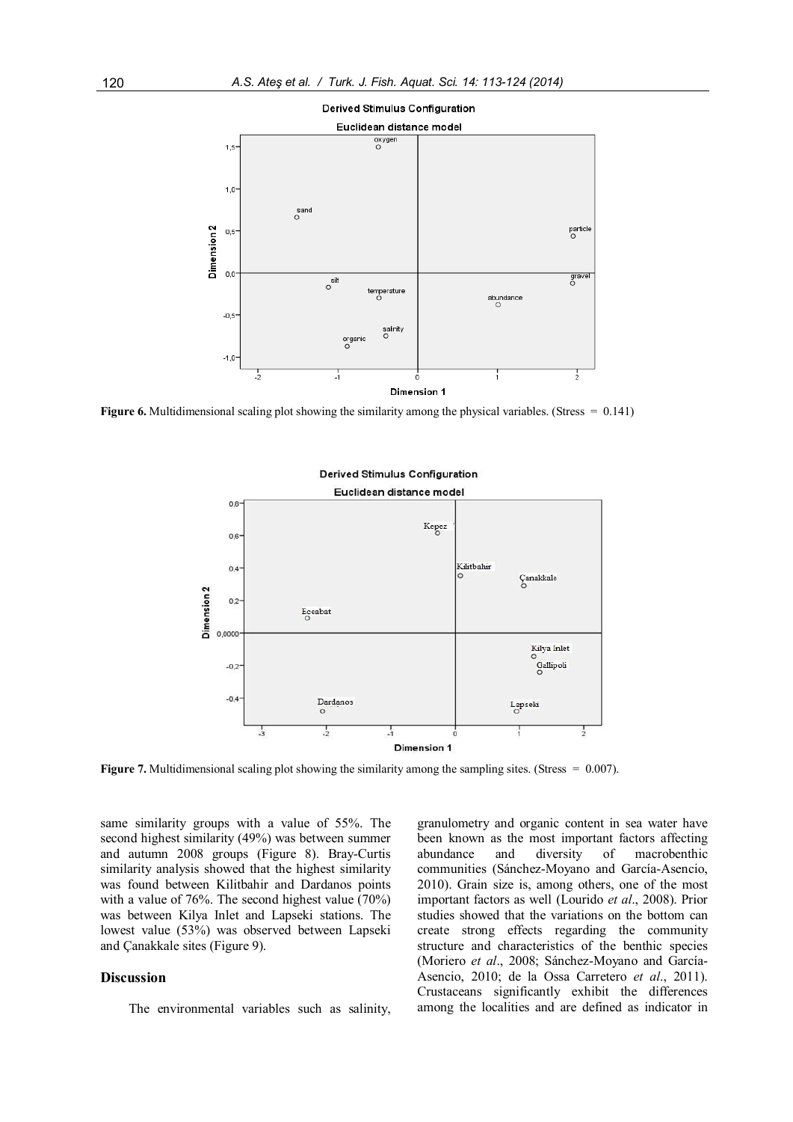

**Figure 6.** Multidimensional scaling plot showing the similarity among the physical variables. (Stress  $= 0.141$ )



Figure 7. Multidimensional scaling plot showing the similarity among the sampling sites. (Stress = 0.007).

same similarity groups with a value of 55%. The second highest similarity (49%) was between summer and autumn 2008 groups (Figure 8). Bray-Curtis similarity analysis showed that the highest similarity was found between Kilitbahir and Dardanos points with a value of 76%. The second highest value (70%) was between Kilya Inlet and Lapseki stations. The lowest value (53%) was observed between Lapseki and Çanakkale sites (Figure 9).

## Discussion

The environmental variables such as salinity,

granulometry and organic content in sea water have been known as the most important factors affecting abundance and diversity of macrobenthic communities (Sánchez-Moyano and García-Asencio, 2010). Grain size is, among others, one of the most important factors as well (Lourido et al., 2008). Prior studies showed that the variations on the bottom can create strong effects regarding the community structure and characteristics of the benthic species (Moriero et al., 2008; Sánchez-Moyano and García-Asencio, 2010; de la Ossa Carretero et al., 2011). Crustaceans significantly exhibit the differences among the localities and are defined as indicator in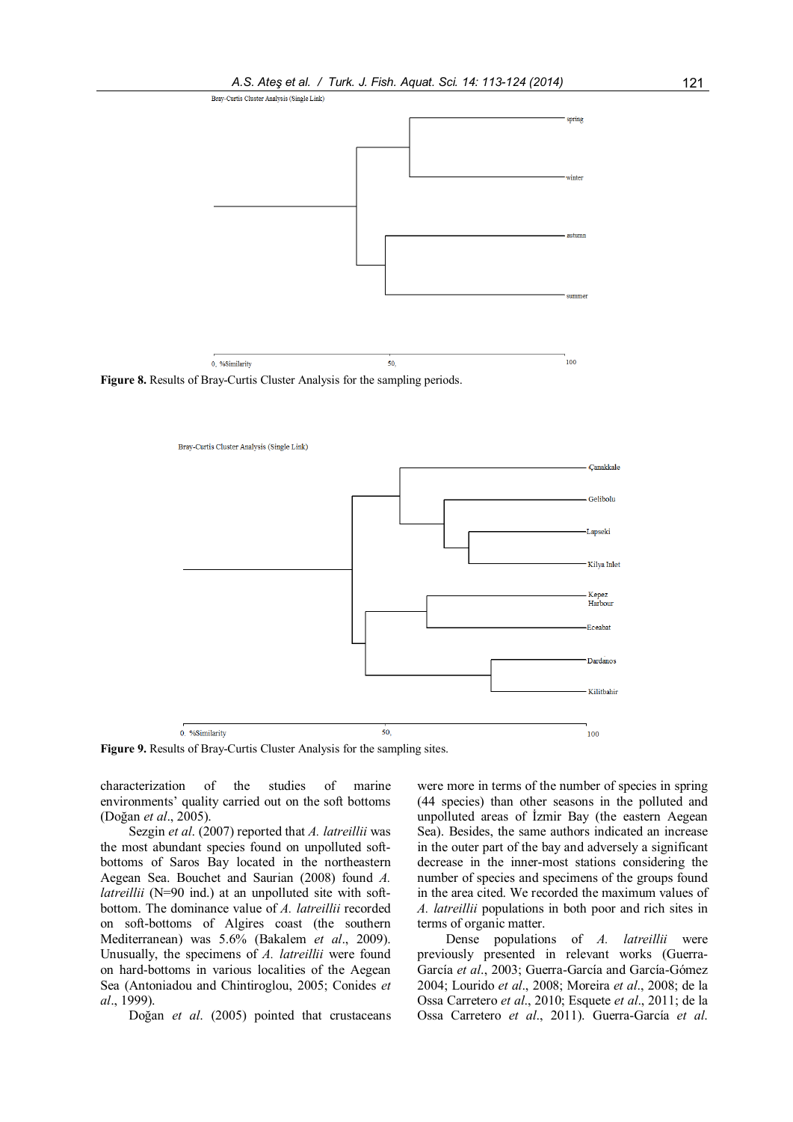

Figure 8. Results of Bray-Curtis Cluster Analysis for the sampling periods.



Figure 9. Results of Bray-Curtis Cluster Analysis for the sampling sites.

characterization of the studies of marine environments' quality carried out on the soft bottoms (Doğan et al., 2005).

Sezgin et al. (2007) reported that A. latreillii was the most abundant species found on unpolluted softbottoms of Saros Bay located in the northeastern Aegean Sea. Bouchet and Saurian (2008) found A. latreillii (N=90 ind.) at an unpolluted site with softbottom. The dominance value of A. latreillii recorded on soft-bottoms of Algires coast (the southern Mediterranean) was 5.6% (Bakalem et al., 2009). Unusually, the specimens of A. latreillii were found on hard-bottoms in various localities of the Aegean Sea (Antoniadou and Chintiroglou, 2005; Conides et al., 1999).

Doğan et al. (2005) pointed that crustaceans

were more in terms of the number of species in spring (44 species) than other seasons in the polluted and unpolluted areas of İzmir Bay (the eastern Aegean Sea). Besides, the same authors indicated an increase in the outer part of the bay and adversely a significant decrease in the inner-most stations considering the number of species and specimens of the groups found in the area cited. We recorded the maximum values of A. latreillii populations in both poor and rich sites in terms of organic matter.

Dense populations of A. latreillii were previously presented in relevant works (Guerra-García et al., 2003; Guerra-García and García-Gómez 2004; Lourido et al., 2008; Moreira et al., 2008; de la Ossa Carretero et al., 2010; Esquete et al., 2011; de la Ossa Carretero et al., 2011). Guerra-García et al.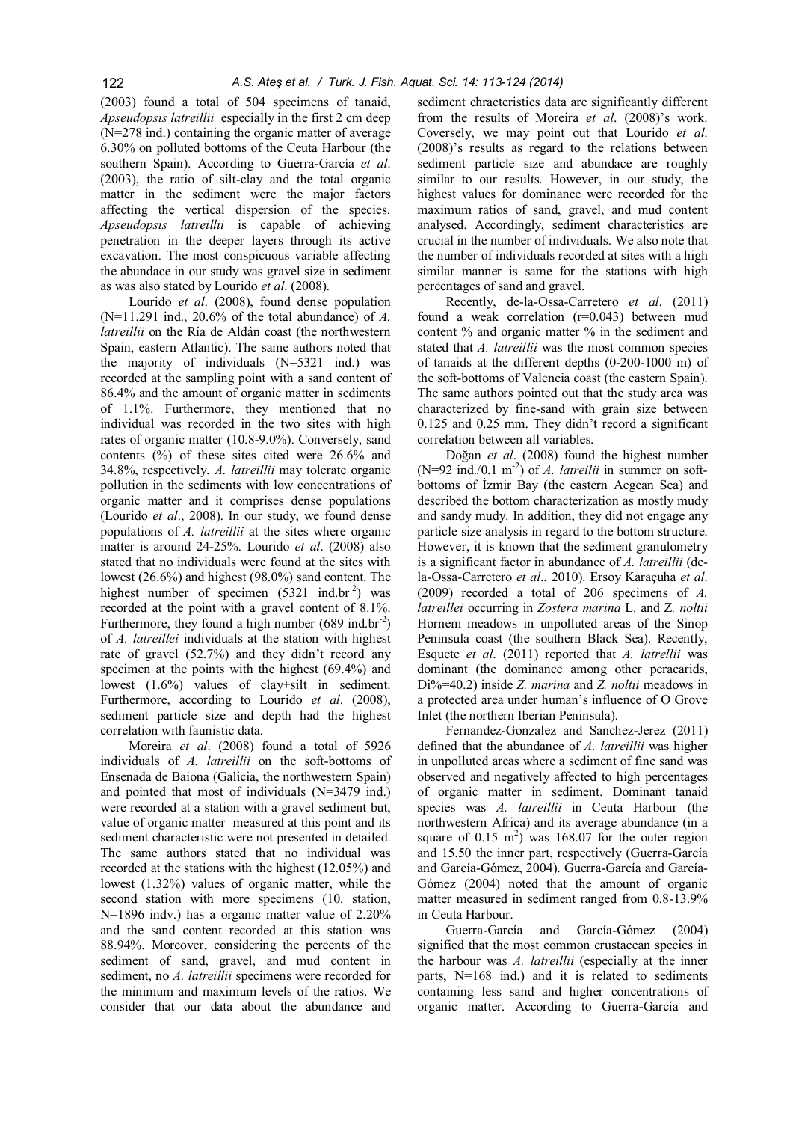(2003) found a total of 504 specimens of tanaid, Apseudopsis latreillii especially in the first 2 cm deep (N=278 ind.) containing the organic matter of average 6.30% on polluted bottoms of the Ceuta Harbour (the southern Spain). According to Guerra-García et al. (2003), the ratio of silt-clay and the total organic matter in the sediment were the major factors affecting the vertical dispersion of the species. Apseudopsis latreillii is capable of achieving penetration in the deeper layers through its active excavation. The most conspicuous variable affecting the abundace in our study was gravel size in sediment as was also stated by Lourido et al. (2008).

Lourido et al. (2008), found dense population  $(N=11.291$  ind., 20.6% of the total abundance) of A. latreillii on the Ría de Aldán coast (the northwestern Spain, eastern Atlantic). The same authors noted that the majority of individuals (N=5321 ind.) was recorded at the sampling point with a sand content of 86.4% and the amount of organic matter in sediments of 1.1%. Furthermore, they mentioned that no individual was recorded in the two sites with high rates of organic matter (10.8-9.0%). Conversely, sand contents (%) of these sites cited were 26.6% and 34.8%, respectively. A. latreillii may tolerate organic pollution in the sediments with low concentrations of organic matter and it comprises dense populations (Lourido et al., 2008). In our study, we found dense populations of A. latreillii at the sites where organic matter is around 24-25%. Lourido et al. (2008) also stated that no individuals were found at the sites with lowest (26.6%) and highest (98.0%) sand content. The highest number of specimen  $(5321 \text{ ind.br}^2)$  was recorded at the point with a gravel content of 8.1%. Furthermore, they found a high number  $(689 \text{ ind.} \text{br}^{-2})$ of A. latreillei individuals at the station with highest rate of gravel (52.7%) and they didn't record any specimen at the points with the highest (69.4%) and lowest (1.6%) values of clay+silt in sediment. Furthermore, according to Lourido et al. (2008), sediment particle size and depth had the highest correlation with faunistic data.

Moreira et al. (2008) found a total of 5926 individuals of A. latreillii on the soft-bottoms of Ensenada de Baiona (Galicia, the northwestern Spain) and pointed that most of individuals (N=3479 ind.) were recorded at a station with a gravel sediment but, value of organic matter measured at this point and its sediment characteristic were not presented in detailed. The same authors stated that no individual was recorded at the stations with the highest (12.05%) and lowest (1.32%) values of organic matter, while the second station with more specimens (10. station, N=1896 indv.) has a organic matter value of 2.20% and the sand content recorded at this station was 88.94%. Moreover, considering the percents of the sediment of sand, gravel, and mud content in sediment, no A. *latreillii* specimens were recorded for the minimum and maximum levels of the ratios. We consider that our data about the abundance and

sediment chracteristics data are significantly different from the results of Moreira et al. (2008)'s work. Coversely, we may point out that Lourido et al. (2008)'s results as regard to the relations between sediment particle size and abundace are roughly similar to our results. However, in our study, the highest values for dominance were recorded for the maximum ratios of sand, gravel, and mud content analysed. Accordingly, sediment characteristics are crucial in the number of individuals. We also note that the number of individuals recorded at sites with a high similar manner is same for the stations with high percentages of sand and gravel.

Recently, de-la-Ossa-Carretero et al. (2011) found a weak correlation (r=0.043) between mud content % and organic matter % in the sediment and stated that A. *latreillii* was the most common species of tanaids at the different depths (0-200-1000 m) of the soft-bottoms of Valencia coast (the eastern Spain). The same authors pointed out that the study area was characterized by fine-sand with grain size between 0.125 and 0.25 mm. They didn't record a significant correlation between all variables.

Doğan et al. (2008) found the highest number (N=92 ind./0.1 m<sup>-2</sup>) of A. latreilii in summer on softbottoms of İzmir Bay (the eastern Aegean Sea) and described the bottom characterization as mostly mudy and sandy mudy. In addition, they did not engage any particle size analysis in regard to the bottom structure. However, it is known that the sediment granulometry is a significant factor in abundance of A. latreillii (dela-Ossa-Carretero et al., 2010). Ersoy Karaçuha et al. (2009) recorded a total of 206 specimens of A. latreillei occurring in Zostera marina L. and Z. noltii Hornem meadows in unpolluted areas of the Sinop Peninsula coast (the southern Black Sea). Recently, Esquete et al. (2011) reported that A. latrellii was dominant (the dominance among other peracarids, Di%=40.2) inside Z. marina and Z. noltii meadows in a protected area under human's influence of O Grove Inlet (the northern Iberian Peninsula).

Fernandez-Gonzalez and Sanchez-Jerez (2011) defined that the abundance of A. latreillii was higher in unpolluted areas where a sediment of fine sand was observed and negatively affected to high percentages of organic matter in sediment. Dominant tanaid species was A. latreillii in Ceuta Harbour (the northwestern Africa) and its average abundance (in a square of  $0.15 \text{ m}^2$ ) was 168.07 for the outer region and 15.50 the inner part, respectively (Guerra-García and García-Gómez, 2004). Guerra-García and García-Gómez (2004) noted that the amount of organic matter measured in sediment ranged from 0.8-13.9% in Ceuta Harbour.

Guerra-García and García-Gómez (2004) signified that the most common crustacean species in the harbour was A. latreillii (especially at the inner parts, N=168 ind.) and it is related to sediments containing less sand and higher concentrations of organic matter. According to Guerra-García and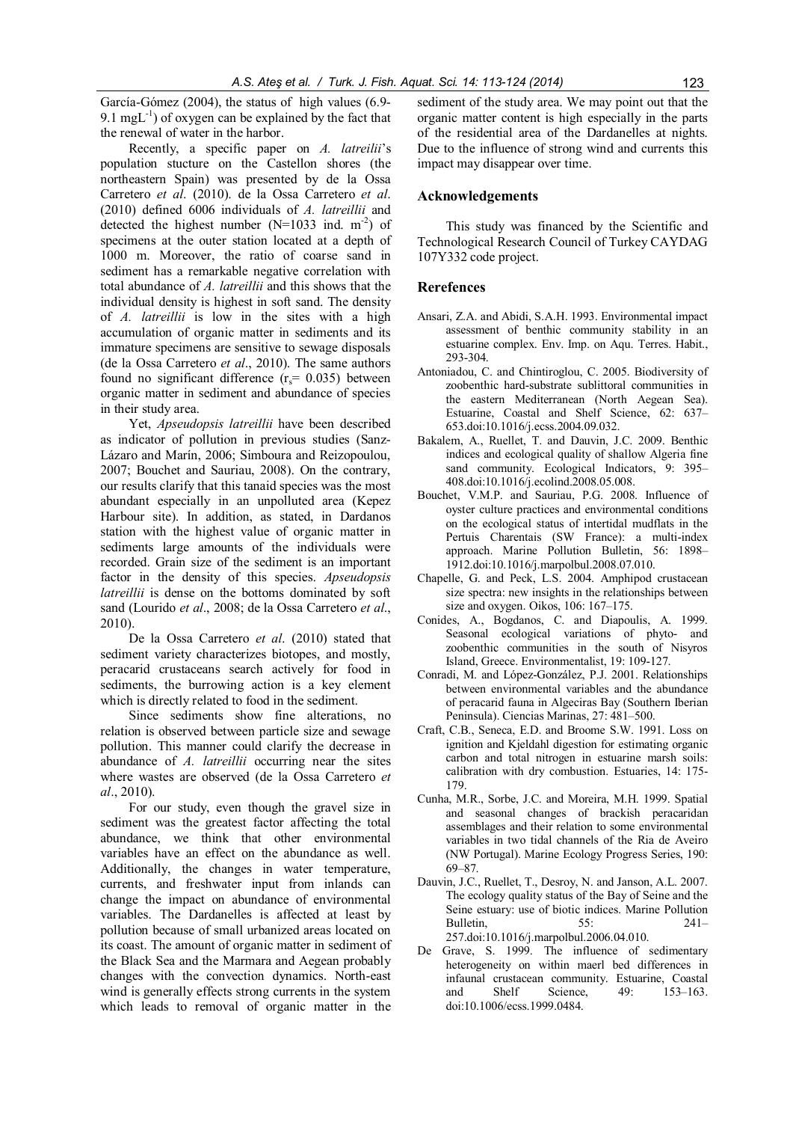García-Gómez (2004), the status of high values (6.9- 9.1 mgL $^{-1}$ ) of oxygen can be explained by the fact that the renewal of water in the harbor.

Recently, a specific paper on A. latreilii's population stucture on the Castellon shores (the northeastern Spain) was presented by de la Ossa Carretero et al. (2010). de la Ossa Carretero et al. (2010) defined 6006 individuals of A. latreillii and detected the highest number ( $N=1033$  ind. m<sup>-2</sup>) of specimens at the outer station located at a depth of 1000 m. Moreover, the ratio of coarse sand in sediment has a remarkable negative correlation with total abundance of A. latreillii and this shows that the individual density is highest in soft sand. The density of A. latreillii is low in the sites with a high accumulation of organic matter in sediments and its immature specimens are sensitive to sewage disposals (de la Ossa Carretero et al., 2010). The same authors found no significant difference  $(r<sub>s</sub>= 0.035)$  between organic matter in sediment and abundance of species in their study area.

Yet, Apseudopsis latreillii have been described as indicator of pollution in previous studies (Sanz-Lázaro and Marín, 2006; Simboura and Reizopoulou, 2007; Bouchet and Sauriau, 2008). On the contrary, our results clarify that this tanaid species was the most abundant especially in an unpolluted area (Kepez Harbour site). In addition, as stated, in Dardanos station with the highest value of organic matter in sediments large amounts of the individuals were recorded. Grain size of the sediment is an important factor in the density of this species. Apseudopsis latreillii is dense on the bottoms dominated by soft sand (Lourido et al., 2008; de la Ossa Carretero et al., 2010).

De la Ossa Carretero et al. (2010) stated that sediment variety characterizes biotopes, and mostly, peracarid crustaceans search actively for food in sediments, the burrowing action is a key element which is directly related to food in the sediment.

Since sediments show fine alterations, no relation is observed between particle size and sewage pollution. This manner could clarify the decrease in abundance of A. latreillii occurring near the sites where wastes are observed (de la Ossa Carretero et al., 2010).

For our study, even though the gravel size in sediment was the greatest factor affecting the total abundance, we think that other environmental variables have an effect on the abundance as well. Additionally, the changes in water temperature, currents, and freshwater input from inlands can change the impact on abundance of environmental variables. The Dardanelles is affected at least by pollution because of small urbanized areas located on its coast. The amount of organic matter in sediment of the Black Sea and the Marmara and Aegean probably changes with the convection dynamics. North-east wind is generally effects strong currents in the system which leads to removal of organic matter in the

sediment of the study area. We may point out that the organic matter content is high especially in the parts of the residential area of the Dardanelles at nights. Due to the influence of strong wind and currents this impact may disappear over time.

## Acknowledgements

This study was financed by the Scientific and Technological Research Council of Turkey CAYDAG 107Y332 code project.

## Rerefences

- Ansari, Z.A. and Abidi, S.A.H. 1993. Environmental impact assessment of benthic community stability in an estuarine complex. Env. Imp. on Aqu. Terres. Habit., 293-304.
- Antoniadou, C. and Chintiroglou, C. 2005. Biodiversity of zoobenthic hard-substrate sublittoral communities in the eastern Mediterranean (North Aegean Sea). Estuarine, Coastal and Shelf Science, 62: 637– 653.doi:10.1016/j.ecss.2004.09.032.
- Bakalem, A., Ruellet, T. and Dauvin, J.C. 2009. Benthic indices and ecological quality of shallow Algeria fine sand community. Ecological Indicators, 9: 395– 408.doi:10.1016/j.ecolind.2008.05.008.
- Bouchet, V.M.P. and Sauriau, P.G. 2008. Influence of oyster culture practices and environmental conditions on the ecological status of intertidal mudflats in the Pertuis Charentais (SW France): a multi-index approach. Marine Pollution Bulletin, 56: 1898– 1912.doi:10.1016/j.marpolbul.2008.07.010.
- Chapelle, G. and Peck, L.S. 2004. Amphipod crustacean size spectra: new insights in the relationships between size and oxygen. Oikos, 106: 167–175.
- Conides, A., Bogdanos, C. and Diapoulis, A. 1999. Seasonal ecological variations of phyto- and zoobenthic communities in the south of Nisyros Island, Greece. Environmentalist, 19: 109-127.
- Conradi, M. and López-González, P.J. 2001. Relationships between environmental variables and the abundance of peracarid fauna in Algeciras Bay (Southern Iberian Peninsula). Ciencias Marinas, 27: 481–500.
- Craft, C.B., Seneca, E.D. and Broome S.W. 1991. Loss on ignition and Kjeldahl digestion for estimating organic carbon and total nitrogen in estuarine marsh soils: calibration with dry combustion. Estuaries, 14: 175- 179.
- Cunha, M.R., Sorbe, J.C. and Moreira, M.H. 1999. Spatial and seasonal changes of brackish peracaridan assemblages and their relation to some environmental variables in two tidal channels of the Ria de Aveiro (NW Portugal). Marine Ecology Progress Series, 190: 69–87.
- Dauvin, J.C., Ruellet, T., Desroy, N. and Janson, A.L. 2007. The ecology quality status of the Bay of Seine and the Seine estuary: use of biotic indices. Marine Pollution Bulletin, 55: 241– 257.doi:10.1016/j.marpolbul.2006.04.010.
- De Grave, S. 1999. The influence of sedimentary heterogeneity on within maerl bed differences in infaunal crustacean community. Estuarine, Coastal<br>and Shelf Science. 49: 153–163. and Shelf Science, 49: doi:10.1006/ecss.1999.0484.